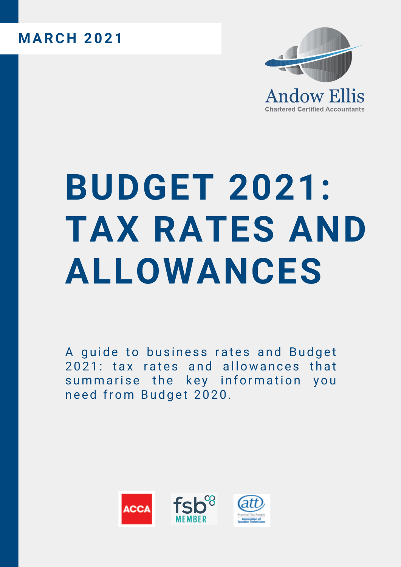## **MARC H 2021**



## **BUDGET 2021: TAX RATES AND ALLOWANCES**

[A](https://accaglobal.com/content/dam/acca-email-templates/UK/inpractice/ACCA%20guide%20to%20Business%20Rates%20-%20Budget%202021%20Lilly.docx) guide to business rates and Budget 2021: tax rates and all[owa](https://accaglobal.com/content/dam/acca-email-templates/UK/inpractice/ACCA%20guide%20to%20Budget%202021%20Tax%20Rates%20_%20Allowances%202021-22.docx)nces that summarise the key information you need from Budget 2020.

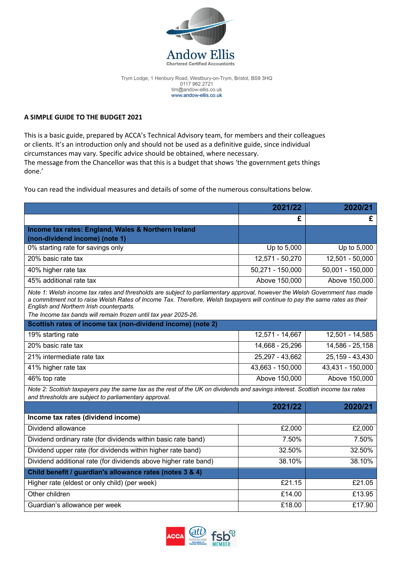

Trym Lodge, 1 Henbury Road, Westbury-on-Trym, Bristol, BS9 3HQ 0117 962 2721 tim@andow-ellis.co.uk www.andow-ellis.co.uk

## **A SIMPLE GUIDE TO THE BUDGET 2021**

This is a basic guide, prepared by ACCA's Technical Advisory team, for members and their colleagues or clients. It's an introduction only and should not be used as a definitive guide, since individual circumstances may vary. Specific advice should be obtained, where necessary. The message from the Chancellor was that this is a budget that shows 'the government gets things done.'

You can read the individual measures and details of some of the numerous consultations below.

|                                                                                                                                                                                                                                                                                                                                                                           | 2021/22          | 2020/21          |
|---------------------------------------------------------------------------------------------------------------------------------------------------------------------------------------------------------------------------------------------------------------------------------------------------------------------------------------------------------------------------|------------------|------------------|
|                                                                                                                                                                                                                                                                                                                                                                           | £                | £                |
| Income tax rates: England, Wales & Northern Ireland                                                                                                                                                                                                                                                                                                                       |                  |                  |
| (non-dividend income) (note 1)                                                                                                                                                                                                                                                                                                                                            |                  |                  |
| 0% starting rate for savings only                                                                                                                                                                                                                                                                                                                                         | Up to 5,000      | Up to 5,000      |
| 20% basic rate tax                                                                                                                                                                                                                                                                                                                                                        | 12,571 - 50,270  | 12,501 - 50,000  |
| 40% higher rate tax                                                                                                                                                                                                                                                                                                                                                       | 50,271 - 150,000 | 50,001 - 150,000 |
| 45% additional rate tax                                                                                                                                                                                                                                                                                                                                                   | Above 150,000    | Above 150,000    |
| Note 1: Welsh income tax rates and thresholds are subject to parliamentary approval, however the Welsh Government has made<br>a commitment not to raise Welsh Rates of Income Tax. Therefore, Welsh taxpayers will continue to pay the same rates as their<br>English and Northern Irish counterparts.<br>The Income tax bands will remain frozen until tax year 2025-26. |                  |                  |
| Scottish rates of income tax (non-dividend income) (note 2)                                                                                                                                                                                                                                                                                                               |                  |                  |
| 19% starting rate                                                                                                                                                                                                                                                                                                                                                         | 12,571 - 14,667  | 12,501 - 14,585  |
| 20% basic rate tax                                                                                                                                                                                                                                                                                                                                                        | 14,668 - 25,296  | 14,586 - 25,158  |
| 21% intermediate rate tax                                                                                                                                                                                                                                                                                                                                                 | 25,297 - 43,662  | 25,159 - 43,430  |
| 41% higher rate tax                                                                                                                                                                                                                                                                                                                                                       | 43,663 - 150,000 | 43,431 - 150,000 |
| 46% top rate                                                                                                                                                                                                                                                                                                                                                              | Above 150,000    | Above 150,000    |
| Note 2: Scottish taxpayers pay the same tax as the rest of the UK on dividends and savings interest. Scottish income tax rates<br>and thresholds are subject to parliamentary approval.                                                                                                                                                                                   |                  |                  |
|                                                                                                                                                                                                                                                                                                                                                                           | 2021/22          | 2020/21          |
| Income tax rates (dividend income)                                                                                                                                                                                                                                                                                                                                        |                  |                  |
| Dividend allowance                                                                                                                                                                                                                                                                                                                                                        | £2,000           | £2,000           |
| Dividend ordinary rate (for dividends within basic rate band)                                                                                                                                                                                                                                                                                                             | 7.50%            | 7.50%            |
| Dividend upper rate (for dividends within higher rate band)                                                                                                                                                                                                                                                                                                               | 32.50%           | 32.50%           |
| Dividend additional rate (for dividends above higher rate band)                                                                                                                                                                                                                                                                                                           | 38.10%           | 38.10%           |
| Child benefit / guardian's allowance rates (notes 3 & 4)                                                                                                                                                                                                                                                                                                                  |                  |                  |
| Higher rate (eldest or only child) (per week)                                                                                                                                                                                                                                                                                                                             | £21.15           | £21.05           |
| Other children                                                                                                                                                                                                                                                                                                                                                            | £14.00           | £13.95           |
| Guardian's allowance per week                                                                                                                                                                                                                                                                                                                                             | £18.00           | £17.90           |

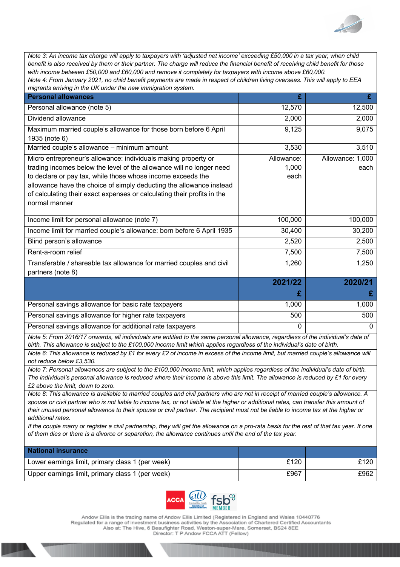

*Note 3: An income tax charge will apply to taxpayers with 'adjusted net income' exceeding £50,000 in a tax year, when child benefit is also received by them or their partner. The charge will reduce the financial benefit of receiving child benefit for those with income between £50,000 and £60,000 and remove it completely for taxpayers with income above £60,000. Note 4: From January 2021, no child benefit payments are made in respect of children living overseas. This will apply to EEA* 

| migrants arriving in the UK under the new immigration system.                                                                                                                                                                                                                                                                                                            |                             |                          |
|--------------------------------------------------------------------------------------------------------------------------------------------------------------------------------------------------------------------------------------------------------------------------------------------------------------------------------------------------------------------------|-----------------------------|--------------------------|
| <b>Personal allowances</b>                                                                                                                                                                                                                                                                                                                                               | £                           | £                        |
| Personal allowance (note 5)                                                                                                                                                                                                                                                                                                                                              | 12,570                      | 12,500                   |
| Dividend allowance                                                                                                                                                                                                                                                                                                                                                       | 2,000                       | 2,000                    |
| Maximum married couple's allowance for those born before 6 April<br>1935 (note 6)                                                                                                                                                                                                                                                                                        | 9,125                       | 9,075                    |
| Married couple's allowance - minimum amount                                                                                                                                                                                                                                                                                                                              | 3,530                       | 3,510                    |
| Micro entrepreneur's allowance: individuals making property or<br>trading incomes below the level of the allowance will no longer need<br>to declare or pay tax, while those whose income exceeds the<br>allowance have the choice of simply deducting the allowance instead<br>of calculating their exact expenses or calculating their profits in the<br>normal manner | Allowance:<br>1,000<br>each | Allowance: 1,000<br>each |
| Income limit for personal allowance (note 7)                                                                                                                                                                                                                                                                                                                             | 100,000                     | 100,000                  |
| Income limit for married couple's allowance: born before 6 April 1935                                                                                                                                                                                                                                                                                                    | 30,400                      | 30,200                   |
| Blind person's allowance                                                                                                                                                                                                                                                                                                                                                 | 2,520                       | 2,500                    |
| Rent-a-room relief                                                                                                                                                                                                                                                                                                                                                       | 7,500                       | 7,500                    |
| Transferable / shareable tax allowance for married couples and civil<br>partners (note 8)                                                                                                                                                                                                                                                                                | 1,260                       | 1,250                    |
|                                                                                                                                                                                                                                                                                                                                                                          | 2021/22                     | 2020/21                  |
|                                                                                                                                                                                                                                                                                                                                                                          | £                           | £                        |

| Personal savings allowance for basic rate taxpayers      | 1,000 | 1.000 |
|----------------------------------------------------------|-------|-------|
| Personal savings allowance for higher rate taxpayers     | 500   | 500   |
| Personal savings allowance for additional rate taxpayers |       |       |

*Note 5: From 2016/17 onwards, all individuals are entitled to the same personal allowance, regardless of the individual's date of birth. This allowance is subject to the £100,000 income limit which applies regardless of the individual's date of birth.*

*Note 6: This allowance is reduced by £1 for every £2 of income in excess of the income limit, but married couple's allowance will not reduce below £3,530.*

*Note 7: Personal allowances are subject to the £100,000 income limit, which applies regardless of the individual's date of birth. The individual's personal allowance is reduced where their income is above this limit. The allowance is reduced by £1 for every £2 above the limit, down to zero.*

*Note 8: This allowance is available to married couples and civil partners who are not in receipt of married couple's allowance. A spouse or civil partner who is not liable to income tax, or not liable at the higher or additional rates, can transfer this amount of their unused personal allowance to their spouse or civil partner. The recipient must not be liable to income tax at the higher or additional rates.*

*If the couple marry or register a civil partnership, they will get the allowance on a pro-rata basis for the rest of that tax year. If one of them dies or there is a divorce or separation, the allowance continues until the end of the tax year.*

| <b>National insurance</b>                        |      |      |
|--------------------------------------------------|------|------|
| Lower earnings limit, primary class 1 (per week) | £120 | £120 |
| Upper earnings limit, primary class 1 (per week) | £967 | £962 |



Andow Ellis is the trading name of Andow Ellis Limited (Registered in England and Wales 10440776 Regulated for a range of investment business activities by the Association of Chartered Certified Accountants Also at: The Hive, 6 Beaufighter Road, Weston-super-Mare, Somerset, BS24 8EE Director: T P Andow FCCA ATT (Fellow)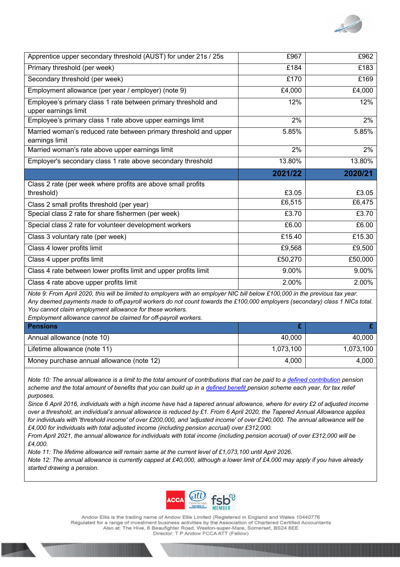

| Apprentice upper secondary threshold (AUST) for under 21s / 25s                       | £967    | £962    |
|---------------------------------------------------------------------------------------|---------|---------|
| Primary threshold (per week)                                                          | £184    | £183    |
| Secondary threshold (per week)                                                        | £170    | £169    |
| Employment allowance (per year / employer) (note 9)                                   | £4,000  | £4,000  |
| Employee's primary class 1 rate between primary threshold and<br>upper earnings limit | 12%     | 12%     |
| Employee's primary class 1 rate above upper earnings limit                            | 2%      | 2%      |
| Married woman's reduced rate between primary threshold and upper<br>earnings limit    | 5.85%   | 5.85%   |
| Married woman's rate above upper earnings limit                                       | 2%      | 2%      |
| Employer's secondary class 1 rate above secondary threshold                           | 13.80%  | 13.80%  |
|                                                                                       |         |         |
|                                                                                       | 2021/22 | 2020/21 |
| Class 2 rate (per week where profits are above small profits                          |         |         |
| threshold)                                                                            | £3.05   | £3.05   |
| Class 2 small profits threshold (per year)                                            | £6,515  | £6,475  |
| Special class 2 rate for share fishermen (per week)                                   | £3.70   | £3.70   |
| Special class 2 rate for volunteer development workers                                | £6.00   | £6.00   |
| Class 3 voluntary rate (per week)                                                     | £15.40  | £15.30  |
| Class 4 lower profits limit                                                           | £9,568  | £9,500  |
| Class 4 upper profits limit                                                           | £50,270 | £50,000 |
| Class 4 rate between lower profits limit and upper profits limit                      | 9.00%   | 9.00%   |

*Note 9: From April 2020, this will be limited to employers with an employer NIC bill below £100,000 in the previous tax year. Any deemed payments made to off-payroll workers do not count towards the £100,000 employers (secondary) class 1 NICs total. You cannot claim employment allowance for these workers.*

*Employment allowance cannot be claimed for off-payroll workers.* 

| <b>Pensions</b>                           |           |           |
|-------------------------------------------|-----------|-----------|
| Annual allowance (note 10)                | 40,000    | 40.000    |
| Lifetime allowance (note 11)              | 1,073,100 | 1,073,100 |
| Money purchase annual allowance (note 12) | 4.000     | 4.000     |

*Note 10: The annual allowance is a limit to the total amount of contributions that can be paid to a defined contribution pension scheme and the total amount of benefits that you can build up in a defined benefit pension scheme each year, for tax relief purposes.*

*Since 6 April 2016, individuals with a high income have had a tapered annual allowance, where for every £2 of adjusted income over a threshold, an individual's annual allowance is reduced by £1. From 6 April 2020, the Tapered Annual Allowance applies for individuals with 'threshold income' of over £200,000, and 'adjusted income' of over £240,000. The annual allowance will be £4,000 for individuals with total adjusted income (including pension accrual) over £312,000.*

*From April 2021, the annual allowance for individuals with total income (including pension accrual) of over £312,000 will be £4,000.* 

*Note 11: The lifetime allowance will remain same at the current level of £1,073,100 until April 2026.*

*Note 12: The annual allowance is currently capped at £40,000, although a lower limit of £4,000 may apply if you have already started drawing a pension.*



Andow Ellis is the trading name of Andow Ellis Limited (Registered in England and Wales 10440776 Regulated for a range of investment business activities by the Association of Chartered Certified Accountants Also at: The Hive, 6 Beaufighter Road, Weston-super-Mare, Somerset, BS24 8EE Director: T P Andow FCCA ATT (Fellow)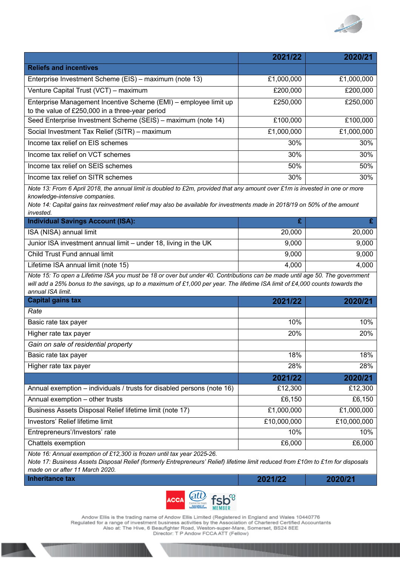

|                                                                                                                                                                                                                                                                                                          | 2021/22     | 2020/21     |
|----------------------------------------------------------------------------------------------------------------------------------------------------------------------------------------------------------------------------------------------------------------------------------------------------------|-------------|-------------|
| <b>Reliefs and incentives</b>                                                                                                                                                                                                                                                                            |             |             |
| Enterprise Investment Scheme (EIS) - maximum (note 13)                                                                                                                                                                                                                                                   | £1,000,000  | £1,000,000  |
| Venture Capital Trust (VCT) - maximum                                                                                                                                                                                                                                                                    | £200,000    | £200,000    |
| Enterprise Management Incentive Scheme (EMI) - employee limit up<br>to the value of £250,000 in a three-year period                                                                                                                                                                                      | £250,000    | £250,000    |
| Seed Enterprise Investment Scheme (SEIS) - maximum (note 14)                                                                                                                                                                                                                                             | £100,000    | £100,000    |
| Social Investment Tax Relief (SITR) - maximum                                                                                                                                                                                                                                                            | £1,000,000  | £1,000,000  |
| Income tax relief on EIS schemes                                                                                                                                                                                                                                                                         | 30%         | 30%         |
| Income tax relief on VCT schemes                                                                                                                                                                                                                                                                         | 30%         | 30%         |
| Income tax relief on SEIS schemes                                                                                                                                                                                                                                                                        | 50%         | 50%         |
| Income tax relief on SITR schemes                                                                                                                                                                                                                                                                        | 30%         | 30%         |
| Note 13: From 6 April 2018, the annual limit is doubled to £2m, provided that any amount over £1m is invested in one or more<br>knowledge-intensive companies.<br>Note 14: Capital gains tax reinvestment relief may also be available for investments made in 2018/19 on 50% of the amount<br>invested. |             |             |
| <b>Individual Savings Account (ISA):</b>                                                                                                                                                                                                                                                                 | £           | £           |
| ISA (NISA) annual limit                                                                                                                                                                                                                                                                                  | 20,000      | 20,000      |
| Junior ISA investment annual limit - under 18, living in the UK                                                                                                                                                                                                                                          | 9,000       | 9,000       |
| Child Trust Fund annual limit                                                                                                                                                                                                                                                                            | 9,000       | 9,000       |
| Lifetime ISA annual limit (note 15)                                                                                                                                                                                                                                                                      | 4,000       | 4,000       |
| Note 15: To open a Lifetime ISA you must be 18 or over but under 40. Contributions can be made until age 50. The government<br>will add a 25% bonus to the savings, up to a maximum of £1,000 per year. The lifetime ISA limit of £4,000 counts towards the<br>annual ISA limit.                         |             |             |
| <b>Capital gains tax</b>                                                                                                                                                                                                                                                                                 | 2021/22     | 2020/21     |
| Rate                                                                                                                                                                                                                                                                                                     |             |             |
| Basic rate tax payer                                                                                                                                                                                                                                                                                     | 10%         | 10%         |
| Higher rate tax payer                                                                                                                                                                                                                                                                                    | 20%         | 20%         |
| Gain on sale of residential property                                                                                                                                                                                                                                                                     |             |             |
| Basic rate tax payer                                                                                                                                                                                                                                                                                     | 18%         | 18%         |
| Higher rate tax payer                                                                                                                                                                                                                                                                                    | 28%         | 28%         |
|                                                                                                                                                                                                                                                                                                          | 2021/22     | 2020/21     |
| Annual exemption - individuals / trusts for disabled persons (note 16)                                                                                                                                                                                                                                   | £12,300     | £12,300     |
| Annual exemption - other trusts                                                                                                                                                                                                                                                                          | £6,150      | £6,150      |
| Business Assets Disposal Relief lifetime limit (note 17)                                                                                                                                                                                                                                                 | £1,000,000  | £1,000,000  |
| Investors' Relief lifetime limit                                                                                                                                                                                                                                                                         | £10,000,000 | £10,000,000 |
| Entrepreneurs'/Investors' rate                                                                                                                                                                                                                                                                           | 10%         | 10%         |
| Chattels exemption                                                                                                                                                                                                                                                                                       | £6,000      | £6,000      |
| Note 16: Annual exemption of £12,300 is frozen until tax year 2025-26.                                                                                                                                                                                                                                   |             |             |

*Note 17: Business Assets Disposal Relief (formerly Entrepreneurs' Relief) lifetime limit reduced from £10m to £1m for disposals made on or after 11 March 2020.*

**Inheritance tax 2021/22 2020/21**



Andow Ellis is the trading name of Andow Ellis Limited (Registered in England and Wales 10440776<br>Regulated for a range of investment business activities by the Association of Chartered Certified Accountants<br>Also at: The Hi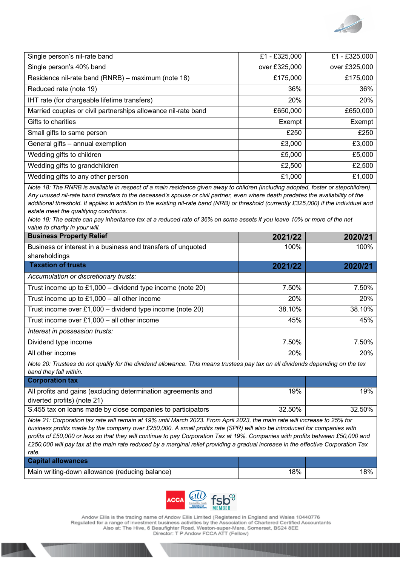

| Single person's nil-rate band                                 | £1 - £325,000 | £1 - £325,000 |
|---------------------------------------------------------------|---------------|---------------|
| Single person's 40% band                                      | over £325,000 | over £325,000 |
| Residence nil-rate band (RNRB) - maximum (note 18)            | £175,000      | £175,000      |
| Reduced rate (note 19)                                        | 36%           | 36%           |
| IHT rate (for chargeable lifetime transfers)                  | 20%           | 20%           |
| Married couples or civil partnerships allowance nil-rate band | £650,000      | £650,000      |
| Gifts to charities                                            | Exempt        | Exempt        |
| Small gifts to same person                                    | £250          | £250          |
| General gifts - annual exemption                              | £3,000        | £3,000        |
| Wedding gifts to children                                     | £5,000        | £5,000        |
| Wedding gifts to grandchildren                                | £2,500        | £2,500        |
| Wedding gifts to any other person                             | £1,000        | £1,000        |

*Note 18: The RNRB is available in respect of a main residence given away to children (including adopted, foster or stepchildren). Any unused nil-rate band transfers to the deceased's spouse or civil partner, even where death predates the availability of the additional threshold. It applies in addition to the existing nil-rate band (NRB) or threshold (currently £325,000) if the individual and estate meet the qualifying conditions.*

*Note 19: The estate can pay inheritance tax at a reduced rate of 36% on some assets if you leave 10% or more of the net value to charity in your will.*

| <b>Business Property Relief</b>                                                                                                                          | 2021/22 | 2020/21 |
|----------------------------------------------------------------------------------------------------------------------------------------------------------|---------|---------|
| Business or interest in a business and transfers of unquoted<br>shareholdings                                                                            | 100%    | 100%    |
| <b>Taxation of trusts</b>                                                                                                                                | 2021/22 | 2020/21 |
| Accumulation or discretionary trusts:                                                                                                                    |         |         |
| Trust income up to $£1,000 -$ dividend type income (note 20)                                                                                             | 7.50%   | 7.50%   |
| Trust income up to $£1,000 -$ all other income                                                                                                           | 20%     | 20%     |
| Trust income over $£1,000 -$ dividend type income (note 20)                                                                                              | 38.10%  | 38.10%  |
| Trust income over $£1,000 -$ all other income                                                                                                            | 45%     | 45%     |
| Interest in possession trusts:                                                                                                                           |         |         |
| Dividend type income                                                                                                                                     | 7.50%   | 7.50%   |
| All other income                                                                                                                                         | 20%     | 20%     |
| Note 20: Trustees do not qualify for the dividend allowance. This means trustees pay tax on all dividends depending on the tax<br>band they fall within. |         |         |
| <b>Corporation tax</b>                                                                                                                                   |         |         |
| All profits and gains (excluding determination agreements and<br>diverted profits) (note 21)                                                             | 19%     | 19%     |
| S.455 tax on loans made by close companies to participators                                                                                              | 32.50%  | 32.50%  |

*Note 21: Corporation tax rate will remain at 19% until March 2023. From April 2023, the main rate will increase to 25% for business profits made by the company over £250,000. A small profits rate (SPR) will also be introduced for companies with profits of £50,000 or less so that they will continue to pay Corporation Tax at 19%. Companies with profits between £50,000 and £250,000 will pay tax at the main rate reduced by a marginal relief providing a gradual increase in the effective Corporation Tax rate.*

| <b>Capital allowances</b>                      |     |    |
|------------------------------------------------|-----|----|
| Main writing-down allowance (reducing balance) | '8% | 8% |



Andow Ellis is the trading name of Andow Ellis Limited (Registered in England and Wales 10440776 Regulated for a range of investment business activities by the Association of Chartered Certified Accountants<br>Also at: The Hive, 6 Beaufighter Road, Weston-super-Mare, Somerset, BS24 8EE Director: T P Andow FCCA ATT (Fellow)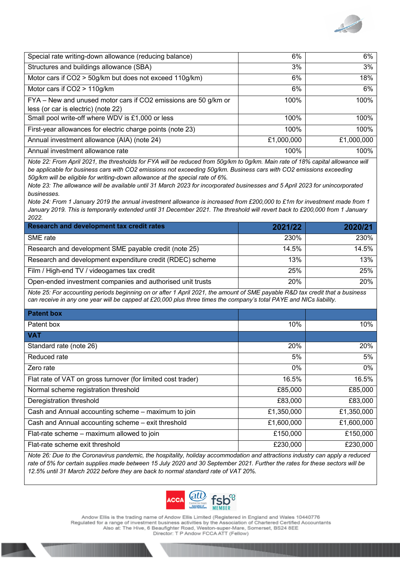

| Special rate writing-down allowance (reducing balance)          | 6%         | 6%         |
|-----------------------------------------------------------------|------------|------------|
| Structures and buildings allowance (SBA)                        | 3%         | 3%         |
| Motor cars if CO2 > 50g/km but does not exceed 110g/km)         | 6%         | 18%        |
| Motor cars if CO2 > 110g/km                                     | 6%         | 6%         |
| FYA - New and unused motor cars if CO2 emissions are 50 g/km or | 100%       | 100%       |
| less (or car is electric) (note 22)                             |            |            |
| Small pool write-off where WDV is £1,000 or less                | 100%       | 100%       |
| First-year allowances for electric charge points (note 23)      | 100%       | 100%       |
| Annual investment allowance (AIA) (note 24)                     | £1,000,000 | £1,000,000 |
| Annual investment allowance rate                                | 100%       | 100%       |

*Note 22: From April 2021, the thresholds for FYA will be reduced from 50g/km to 0g/km. Main rate of 18% capital allowance will be applicable for business cars with CO2 emissions not exceeding 50g/km. Business cars with CO2 emissions exceeding 50g/km will be eligible for writing-down allowance at the special rate of 6%.*

*Note 23: The allowance will be available until 31 March 2023 for incorporated businesses and 5 April 2023 for unincorporated businesses.*

*Note 24: From 1 January 2019 the annual investment allowance is increased from £200,000 to £1m for investment made from 1 January 2019. This is temporarily extended until 31 December 2021. The threshold will revert back to £200,000 from 1 January 2022.*

| <b>Research and development tax credit rates</b>           | 2021/22     | 2020/21     |
|------------------------------------------------------------|-------------|-------------|
| SME rate                                                   | <b>230%</b> | <b>230%</b> |
| Research and development SME payable credit (note 25)      | 14.5%       | 14.5%       |
| Research and development expenditure credit (RDEC) scheme  | 13%         | 13%         |
| Film / High-end TV / videogames tax credit                 | 25%         | 25%         |
| Open-ended investment companies and authorised unit trusts | 20%         | 20%         |

*Note 25: For accounting periods beginning on or after 1 April 2021, the amount of SME payable R&D tax credit that a business can receive in any one year will be capped at £20,000 plus three times the company's total PAYE and NICs liability.*

| <b>Patent box</b>                                            |            |            |
|--------------------------------------------------------------|------------|------------|
| Patent box                                                   | 10%        | 10%        |
| <b>VAT</b>                                                   |            |            |
| Standard rate (note 26)                                      | 20%        | 20%        |
| Reduced rate                                                 | 5%         | 5%         |
| Zero rate                                                    | 0%         | $0\%$      |
| Flat rate of VAT on gross turnover (for limited cost trader) | 16.5%      | 16.5%      |
| Normal scheme registration threshold                         | £85,000    | £85,000    |
| Deregistration threshold                                     | £83,000    | £83,000    |
| Cash and Annual accounting scheme - maximum to join          | £1,350,000 | £1,350,000 |
| Cash and Annual accounting scheme - exit threshold           | £1,600,000 | £1,600,000 |
| Flat-rate scheme - maximum allowed to join                   | £150,000   | £150,000   |
| Flat-rate scheme exit threshold                              | £230,000   | £230,000   |

*Note 26: Due to the Coronavirus pandemic, the hospitality, holiday accommodation and attractions industry can apply a reduced rate of 5% for certain supplies made between 15 July 2020 and 30 September 2021. Further the rates for these sectors will be 12.5% until 31 March 2022 before they are back to normal standard rate of VAT 20%.*



Andow Ellis is the trading name of Andow Ellis Limited (Registered in England and Wales 10440776 Regulated for a range of investment business activities by the Association of Chartered Certified Accountants<br>Also at: The Hive, 6 Beaufighter Road, Weston-super-Mare, Somerset, BS24 8EE Director: T P Andow FCCA ATT (Fellow)